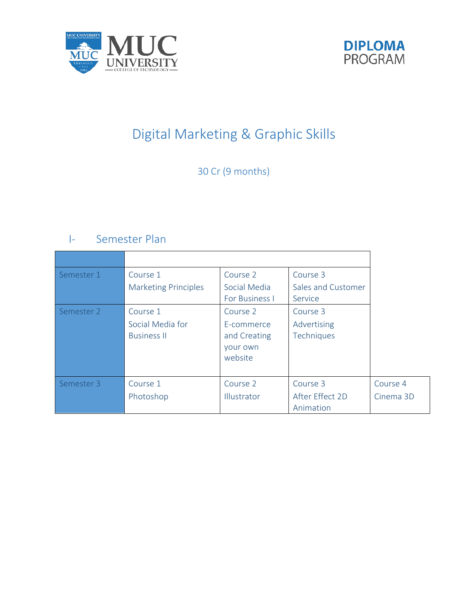



# Digital Marketing & Graphic Skills

30 Cr (9 months)

# I- Semester Plan

| Semester 1 | Course 1<br><b>Marketing Principles</b>            | Course 2<br>Social Media<br>For Business I                    | Course 3<br>Sales and Customer<br>Service |                       |
|------------|----------------------------------------------------|---------------------------------------------------------------|-------------------------------------------|-----------------------|
| Semester 2 | Course 1<br>Social Media for<br><b>Business II</b> | Course 2<br>E-commerce<br>and Creating<br>your own<br>website | Course 3<br>Advertising<br>Techniques     |                       |
| Semester 3 | Course 1<br>Photoshop                              | Course 2<br>Illustrator                                       | Course 3<br>After Effect 2D<br>Animation  | Course 4<br>Cinema 3D |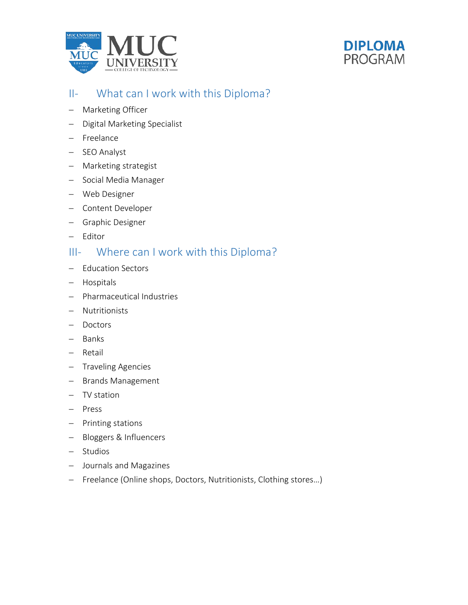



### II- What can I work with this Diploma?

- − Marketing Officer
- − Digital Marketing Specialist
- − Freelance
- − SEO Analyst
- − Marketing strategist
- − Social Media Manager
- − Web Designer
- − Content Developer
- − Graphic Designer
- − Editor

### III- Where can I work with this Diploma?

- − Education Sectors
- − Hospitals
- − Pharmaceutical Industries
- − Nutritionists
- − Doctors
- − Banks
- − Retail
- − Traveling Agencies
- − Brands Management
- − TV station
- − Press
- − Printing stations
- − Bloggers & Influencers
- − Studios
- − Journals and Magazines
- − Freelance (Online shops, Doctors, Nutritionists, Clothing stores…)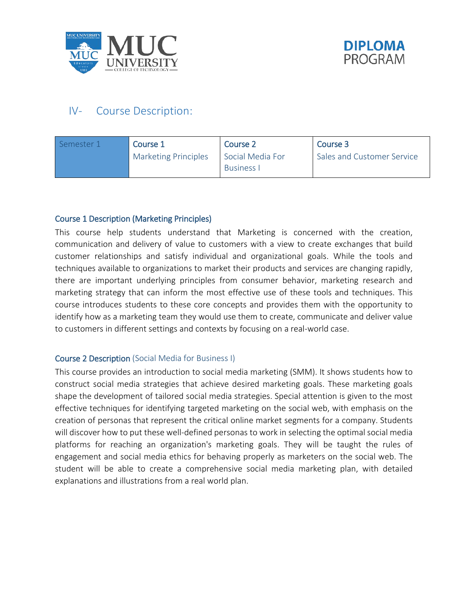



## IV- Course Description:

| Semester 1 | Course 1                    | Course 2                              | Course 3                   |
|------------|-----------------------------|---------------------------------------|----------------------------|
|            | <b>Marketing Principles</b> | Social Media For<br><b>Business I</b> | Sales and Customer Service |

#### Course 1 Description (Marketing Principles)

This course help students understand that Marketing is concerned with the creation, communication and delivery of value to customers with a view to create exchanges that build customer relationships and satisfy individual and organizational goals. While the tools and techniques available to organizations to market their products and services are changing rapidly, there are important underlying principles from consumer behavior, marketing research and marketing strategy that can inform the most effective use of these tools and techniques. This course introduces students to these core concepts and provides them with the opportunity to identify how as a marketing team they would use them to create, communicate and deliver value to customers in different settings and contexts by focusing on a real-world case.

#### Course 2 Description (Social Media for Business I)

This course provides an introduction to social media marketing (SMM). It shows students how to construct social media strategies that achieve desired marketing goals. These marketing goals shape the development of tailored social media strategies. Special attention is given to the most effective techniques for identifying targeted marketing on the social web, with emphasis on the creation of personas that represent the critical online market segments for a company. Students will discover how to put these well-defined personas to work in selecting the optimal social media platforms for reaching an organization's marketing goals. They will be taught the rules of engagement and social media ethics for behaving properly as marketers on the social web. The student will be able to create a comprehensive social media marketing plan, with detailed explanations and illustrations from a real world plan.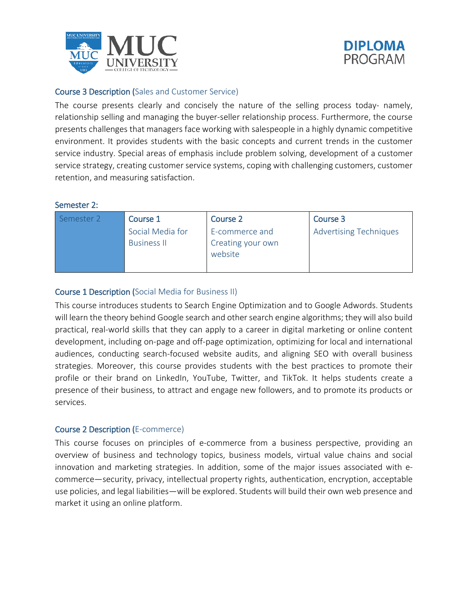



#### Course 3 Description (Sales and Customer Service)

The course presents clearly and concisely the nature of the selling process today- namely, relationship selling and managing the buyer-seller relationship process. Furthermore, the course presents challenges that managers face working with salespeople in a highly dynamic competitive environment. It provides students with the basic concepts and current trends in the customer service industry. Special areas of emphasis include problem solving, development of a customer service strategy, creating customer service systems, coping with challenging customers, customer retention, and measuring satisfaction.

#### Semester 2:

| Semester 2 | Course 1                               | Course 2                                       | Course 3                      |
|------------|----------------------------------------|------------------------------------------------|-------------------------------|
|            | Social Media for<br><b>Business II</b> | E-commerce and<br>Creating your own<br>website | <b>Advertising Techniques</b> |

#### Course 1 Description (Social Media for Business II)

This course introduces students to Search Engine Optimization and to Google Adwords. Students will learn the theory behind Google search and other search engine algorithms; they will also build practical, real-world skills that they can apply to a career in digital marketing or online content development, including on-page and off-page optimization, optimizing for local and international audiences, conducting search-focused website audits, and aligning SEO with overall business strategies. Moreover, this course provides students with the best practices to promote their profile or their brand on LinkedIn, YouTube, Twitter, and TikTok. It helps students create a presence of their business, to attract and engage new followers, and to promote its products or services.

#### Course 2 Description (E-commerce)

This course focuses on principles of e-commerce from a business perspective, providing an overview of business and technology topics, business models, virtual value chains and social innovation and marketing strategies. In addition, some of the major issues associated with ecommerce—security, privacy, intellectual property rights, authentication, encryption, acceptable use policies, and legal liabilities—will be explored. Students will build their own web presence and market it using an online platform.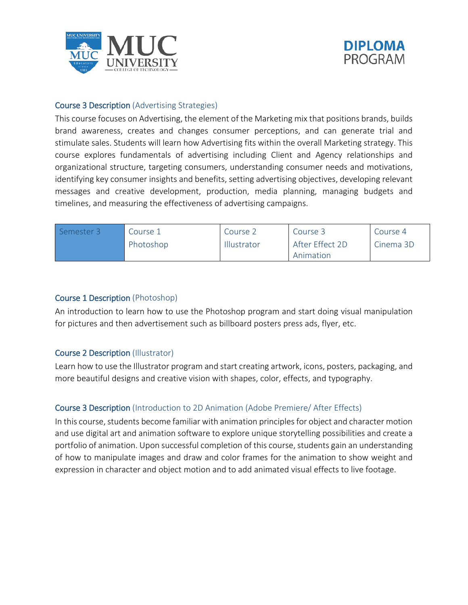



#### Course 3 Description (Advertising Strategies)

This course focuses on Advertising, the element of the Marketing mix that positions brands, builds brand awareness, creates and changes consumer perceptions, and can generate trial and stimulate sales. Students will learn how Advertising fits within the overall Marketing strategy. This course explores fundamentals of advertising including Client and Agency relationships and organizational structure, targeting consumers, understanding consumer needs and motivations, identifying key consumer insights and benefits, setting advertising objectives, developing relevant messages and creative development, production, media planning, managing budgets and timelines, and measuring the effectiveness of advertising campaigns.

| Semester 3 | Course 1  | Course 2    | Course 3        | Course 4  |
|------------|-----------|-------------|-----------------|-----------|
|            | Photoshop | Illustrator | After Effect 2D | Cinema 3D |
|            |           |             | Animation       |           |

#### Course 1 Description (Photoshop)

An introduction to learn how to use the Photoshop program and start doing visual manipulation for pictures and then advertisement such as billboard posters press ads, flyer, etc.

#### Course 2 Description (Illustrator)

Learn how to use the Illustrator program and start creating artwork, icons, posters, packaging, and more beautiful designs and creative vision with shapes, color, effects, and typography.

#### Course 3 Description (Introduction to 2D Animation (Adobe Premiere/ After Effects)

In this course, students become familiar with animation principles for object and character motion and use digital art and animation software to explore unique storytelling possibilities and create a portfolio of animation. Upon successful completion of this course, students gain an understanding of how to manipulate images and draw and color frames for the animation to show weight and expression in character and object motion and to add animated visual effects to live footage.